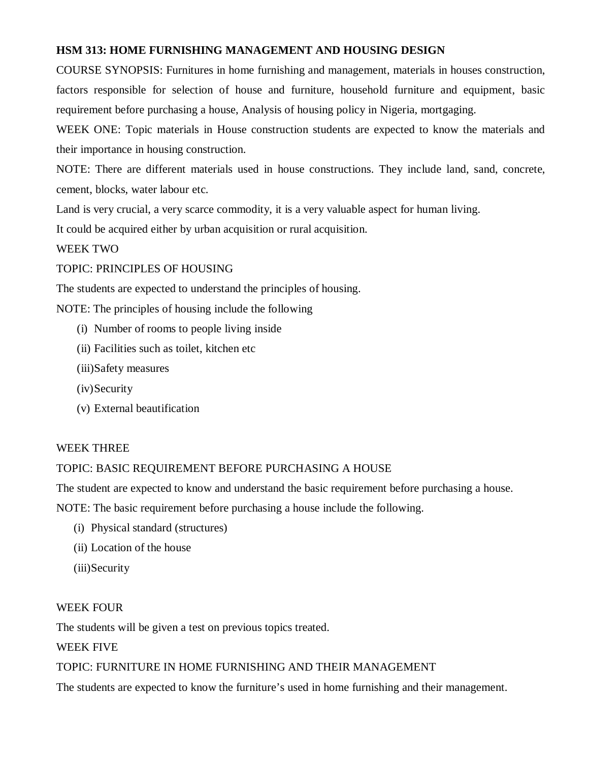### **HSM 313: HOME FURNISHING MANAGEMENT AND HOUSING DESIGN**

COURSE SYNOPSIS: Furnitures in home furnishing and management, materials in houses construction, factors responsible for selection of house and furniture, household furniture and equipment, basic requirement before purchasing a house, Analysis of housing policy in Nigeria, mortgaging.

WEEK ONE: Topic materials in House construction students are expected to know the materials and their importance in housing construction.

NOTE: There are different materials used in house constructions. They include land, sand, concrete, cement, blocks, water labour etc.

Land is very crucial, a very scarce commodity, it is a very valuable aspect for human living.

It could be acquired either by urban acquisition or rural acquisition.

## WEEK TWO

## TOPIC: PRINCIPLES OF HOUSING

The students are expected to understand the principles of housing.

NOTE: The principles of housing include the following

- (i) Number of rooms to people living inside
- (ii) Facilities such as toilet, kitchen etc
- (iii)Safety measures
- (iv)Security
- (v) External beautification

#### WEEK THREE

#### TOPIC: BASIC REQUIREMENT BEFORE PURCHASING A HOUSE

The student are expected to know and understand the basic requirement before purchasing a house.

NOTE: The basic requirement before purchasing a house include the following.

- (i) Physical standard (structures)
- (ii) Location of the house
- (iii)Security

#### WEEK FOUR

The students will be given a test on previous topics treated.

# WEEK FIVE

# TOPIC: FURNITURE IN HOME FURNISHING AND THEIR MANAGEMENT

The students are expected to know the furniture's used in home furnishing and their management.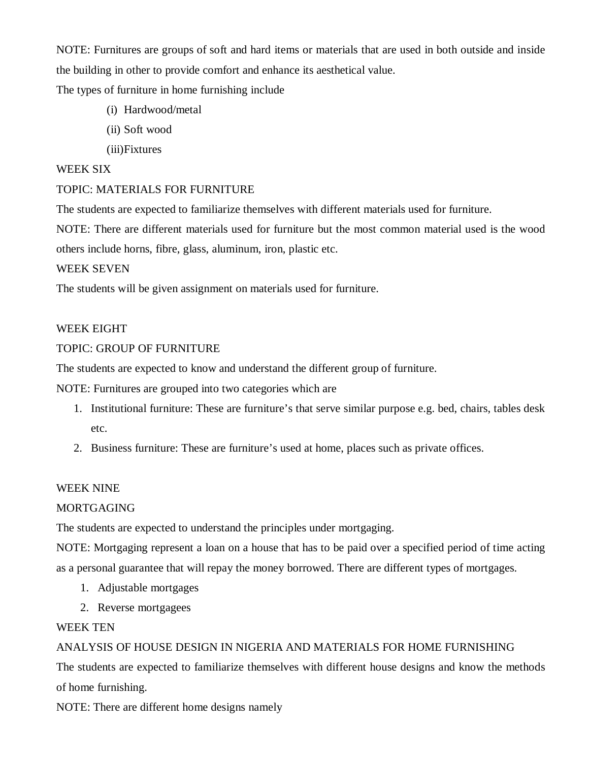NOTE: Furnitures are groups of soft and hard items or materials that are used in both outside and inside the building in other to provide comfort and enhance its aesthetical value.

The types of furniture in home furnishing include

- (i) Hardwood/metal
- (ii) Soft wood
- (iii)Fixtures

### WEEK SIX

## TOPIC: MATERIALS FOR FURNITURE

The students are expected to familiarize themselves with different materials used for furniture.

NOTE: There are different materials used for furniture but the most common material used is the wood others include horns, fibre, glass, aluminum, iron, plastic etc.

#### WEEK SEVEN

The students will be given assignment on materials used for furniture.

## WEEK EIGHT

## TOPIC: GROUP OF FURNITURE

The students are expected to know and understand the different group of furniture.

NOTE: Furnitures are grouped into two categories which are

- 1. Institutional furniture: These are furniture's that serve similar purpose e.g. bed, chairs, tables desk etc.
- 2. Business furniture: These are furniture's used at home, places such as private offices.

#### WEEK NINE

#### MORTGAGING

The students are expected to understand the principles under mortgaging.

NOTE: Mortgaging represent a loan on a house that has to be paid over a specified period of time acting as a personal guarantee that will repay the money borrowed. There are different types of mortgages.

- 1. Adjustable mortgages
- 2. Reverse mortgagees

#### WEEK TEN

# ANALYSIS OF HOUSE DESIGN IN NIGERIA AND MATERIALS FOR HOME FURNISHING

The students are expected to familiarize themselves with different house designs and know the methods of home furnishing.

NOTE: There are different home designs namely